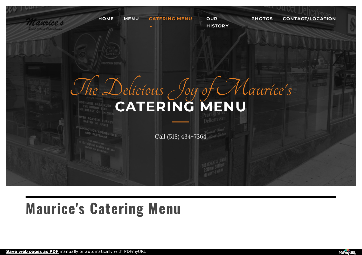

# **Maurice's Catering Menu**

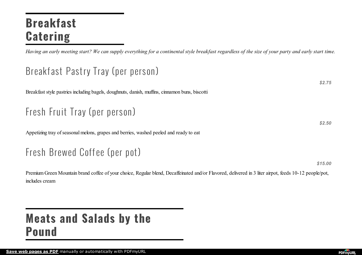## **Breakfast Catering**

Having an early meeting start? We can supply everything for a continental style breakfast regardless of the size of your party and early start time.

### Breakfast Pastry Tray (per person )

Breakfast style pastries including bagels, doughnuts, danish, muffins, cinnamon buns, biscotti

## Fresh Fruit Tray (per person)

Appetizing tray of seasonal melons, grapes and berries, washed peeled and ready to eat

### Fresh Brewed Coff ee (per pot)

*\$15.00*

*\$2.75*

*\$2.50*

Premium Green Mountain brand coffee of your choice, Regular blend, Decaffeinated and/or Flavored, delivered in 3 liter airpot, feeds 10-12 people/pot, includes cream

## **Meats and Salads by the Pound**

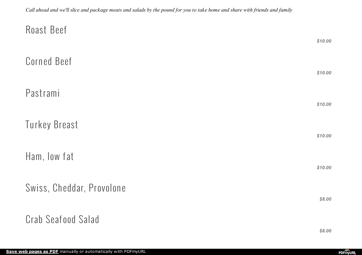<span id="page-2-0"></span>

| Roast Beef                | \$10.00 |
|---------------------------|---------|
| <b>Corned Beef</b>        | \$10.00 |
| Pastrami                  | \$10.00 |
| Turkey Breast             | \$10.00 |
| Ham, low fat              | \$10.00 |
| Swiss, Cheddar, Provolone | \$8.00  |
| <b>Crab Seafood Salad</b> |         |

*\$8.00*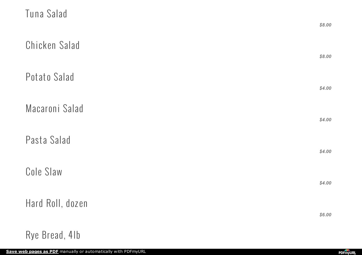| Tuna Salad       | \$8.00 |
|------------------|--------|
| Chicken Salad    | \$8.00 |
| Potato Salad     | \$4.00 |
| Macaroni Salad   | \$4.00 |
| Pasta Salad      | \$4.00 |
| Cole Slaw        | \$4.00 |
| Hard Roll, dozen | \$6.00 |
| Rye Bread, 41b   |        |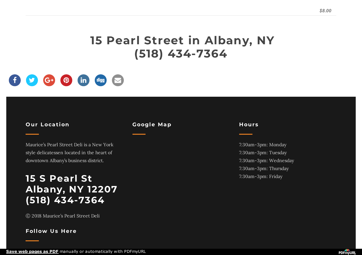### **15 Pearl Street in Albany, NY (518) 434-7364**



#### **O ur Locat ion**

Maurice's Pearl Street Deli is a New York style delicatessen located in the heart of downtown Albany's business district.

### **15 S Pearl St Albany, NY 12207 (518) 434-7364**

Ⓒ 2018 Maurice's Pearl Street Deli

#### **Follow Us Here**

#### **Google Map**

#### **H our s**

7:30am-3pm: Monday 7:30am-3pm: Tuesday 7:30am-3pm: Wednesday 7:30am-3pm: Thursday 7:30am-3pm: Friday